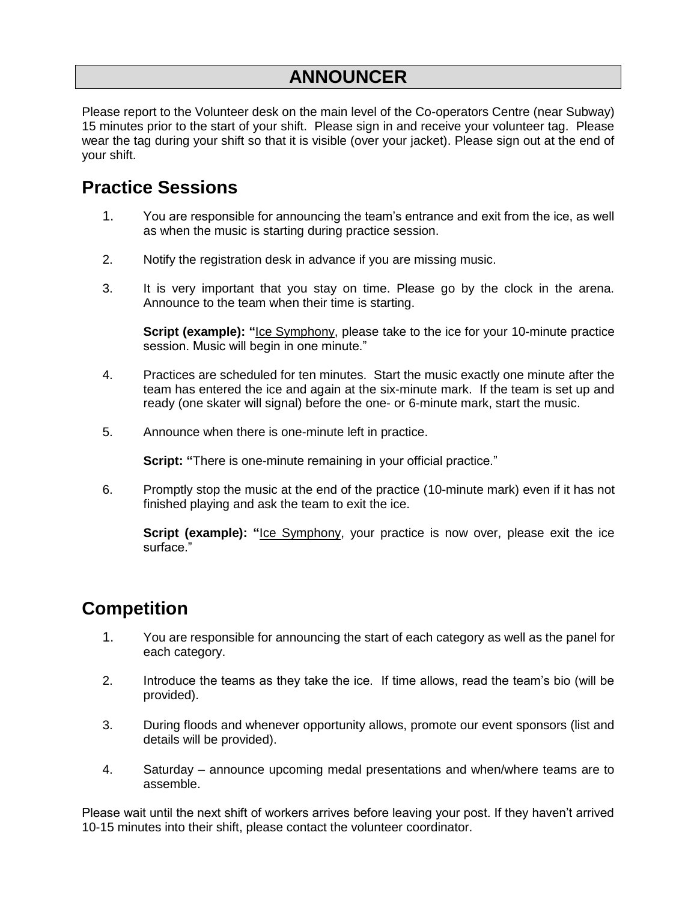### **ANNOUNCER**

Please report to the Volunteer desk on the main level of the Co-operators Centre (near Subway) 15 minutes prior to the start of your shift. Please sign in and receive your volunteer tag. Please wear the tag during your shift so that it is visible (over your jacket). Please sign out at the end of your shift.

### **Practice Sessions**

- 1. You are responsible for announcing the team's entrance and exit from the ice, as well as when the music is starting during practice session.
- 2. Notify the registration desk in advance if you are missing music.
- 3. It is very important that you stay on time. Please go by the clock in the arena. Announce to the team when their time is starting.

**Script (example):** "Ice Symphony, please take to the ice for your 10-minute practice session. Music will begin in one minute."

- 4. Practices are scheduled for ten minutes. Start the music exactly one minute after the team has entered the ice and again at the six-minute mark. If the team is set up and ready (one skater will signal) before the one- or 6-minute mark, start the music.
- 5. Announce when there is one-minute left in practice.

**Script:** "There is one-minute remaining in your official practice."

6. Promptly stop the music at the end of the practice (10-minute mark) even if it has not finished playing and ask the team to exit the ice.

**Script (example):** "Ice Symphony, your practice is now over, please exit the ice surface."

## **Competition**

- 1. You are responsible for announcing the start of each category as well as the panel for each category.
- 2. Introduce the teams as they take the ice. If time allows, read the team's bio (will be provided).
- 3. During floods and whenever opportunity allows, promote our event sponsors (list and details will be provided).
- 4. Saturday announce upcoming medal presentations and when/where teams are to assemble.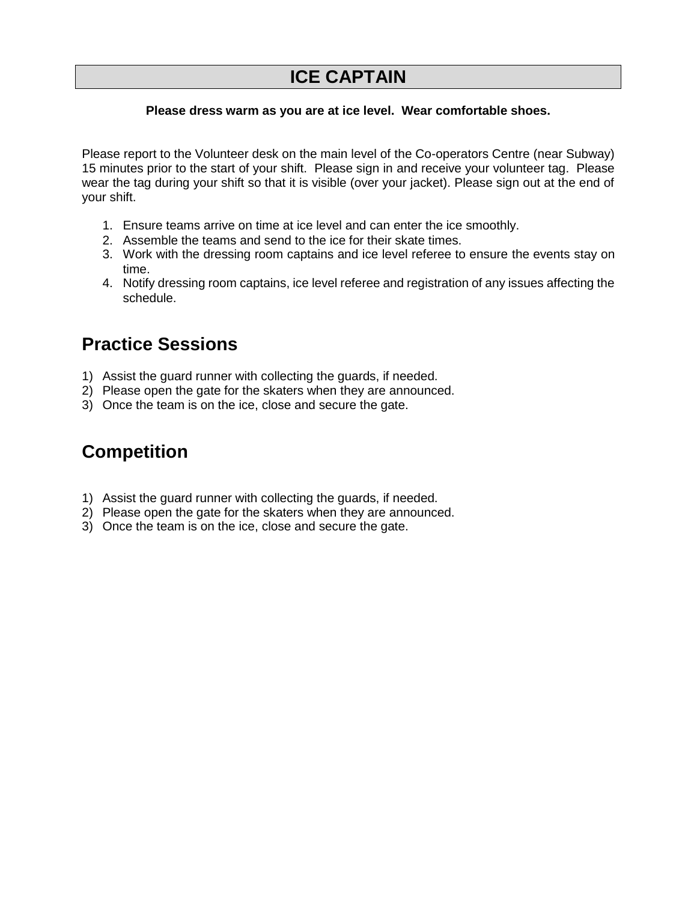### **ICE CAPTAIN**

#### **Please dress warm as you are at ice level. Wear comfortable shoes.**

Please report to the Volunteer desk on the main level of the Co-operators Centre (near Subway) 15 minutes prior to the start of your shift. Please sign in and receive your volunteer tag. Please wear the tag during your shift so that it is visible (over your jacket). Please sign out at the end of your shift.

- 1. Ensure teams arrive on time at ice level and can enter the ice smoothly.
- 2. Assemble the teams and send to the ice for their skate times.
- 3. Work with the dressing room captains and ice level referee to ensure the events stay on time.
- 4. Notify dressing room captains, ice level referee and registration of any issues affecting the schedule.

## **Practice Sessions**

- 1) Assist the guard runner with collecting the guards, if needed.
- 2) Please open the gate for the skaters when they are announced.
- 3) Once the team is on the ice, close and secure the gate.

## **Competition**

- 1) Assist the guard runner with collecting the guards, if needed.
- 2) Please open the gate for the skaters when they are announced.
- 3) Once the team is on the ice, close and secure the gate.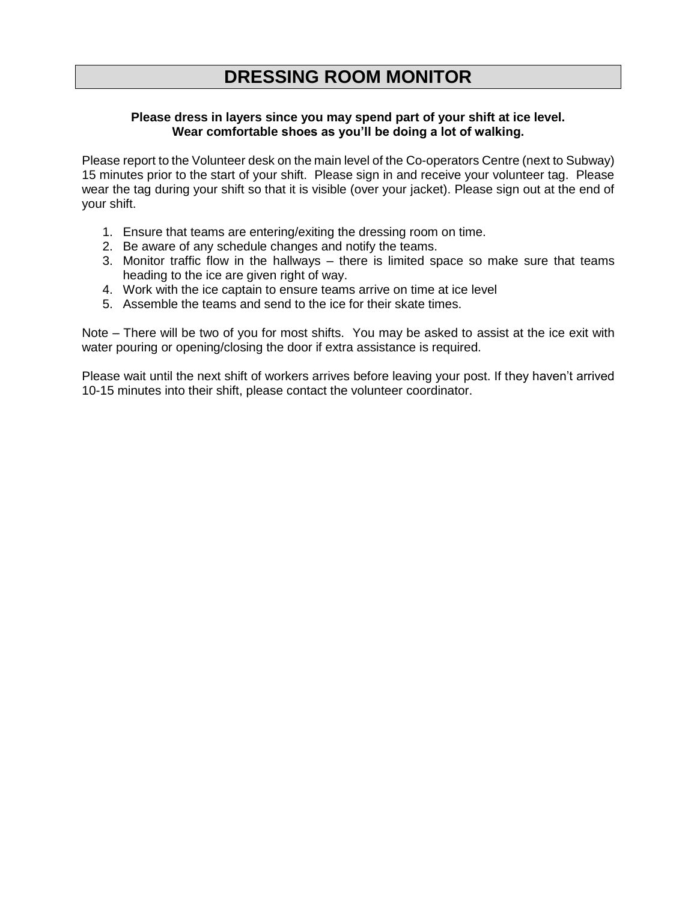## **DRESSING ROOM MONITOR**

#### **Please dress in layers since you may spend part of your shift at ice level. Wear comfortable shoes as you'll be doing a lot of walking.**

Please report to the Volunteer desk on the main level of the Co-operators Centre (next to Subway) 15 minutes prior to the start of your shift. Please sign in and receive your volunteer tag. Please wear the tag during your shift so that it is visible (over your jacket). Please sign out at the end of your shift.

- 1. Ensure that teams are entering/exiting the dressing room on time.
- 2. Be aware of any schedule changes and notify the teams.
- 3. Monitor traffic flow in the hallways there is limited space so make sure that teams heading to the ice are given right of way.
- 4. Work with the ice captain to ensure teams arrive on time at ice level
- 5. Assemble the teams and send to the ice for their skate times.

Note – There will be two of you for most shifts. You may be asked to assist at the ice exit with water pouring or opening/closing the door if extra assistance is required.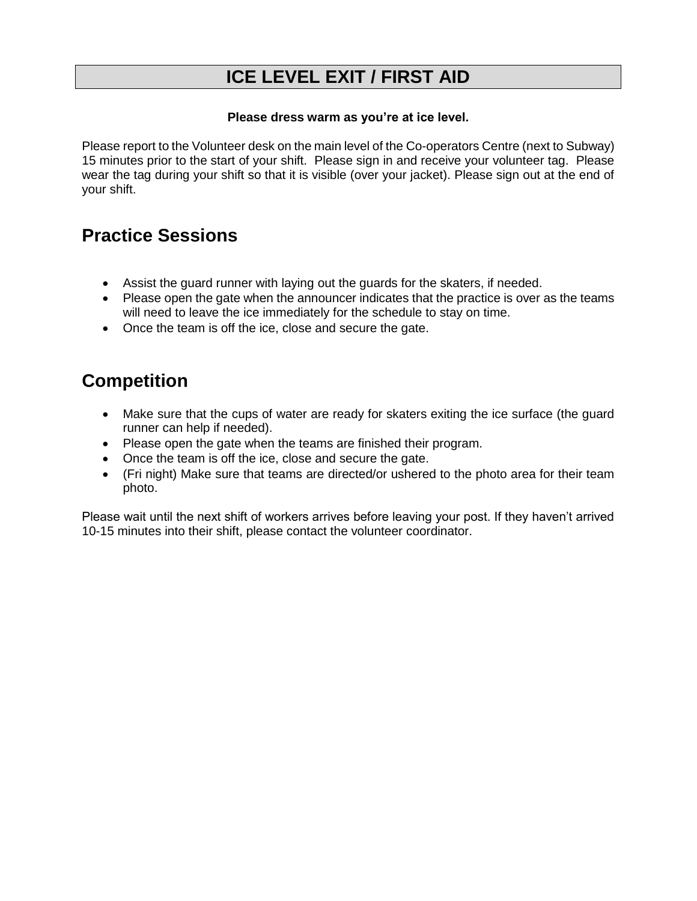## **ICE LEVEL EXIT / FIRST AID**

#### **Please dress warm as you're at ice level.**

Please report to the Volunteer desk on the main level of the Co-operators Centre (next to Subway) 15 minutes prior to the start of your shift. Please sign in and receive your volunteer tag. Please wear the tag during your shift so that it is visible (over your jacket). Please sign out at the end of your shift.

## **Practice Sessions**

- Assist the guard runner with laying out the guards for the skaters, if needed.
- Please open the gate when the announcer indicates that the practice is over as the teams will need to leave the ice immediately for the schedule to stay on time.
- Once the team is off the ice, close and secure the gate.

# **Competition**

- Make sure that the cups of water are ready for skaters exiting the ice surface (the quard runner can help if needed).
- Please open the gate when the teams are finished their program.
- Once the team is off the ice, close and secure the gate.
- (Fri night) Make sure that teams are directed/or ushered to the photo area for their team photo.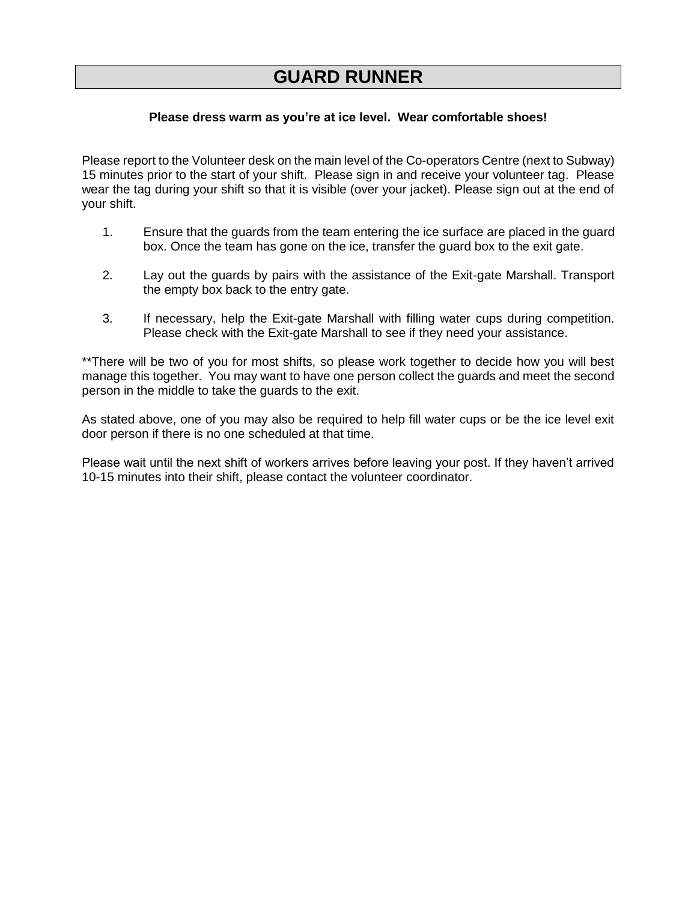### **GUARD RUNNER**

#### **Please dress warm as you're at ice level. Wear comfortable shoes!**

Please report to the Volunteer desk on the main level of the Co-operators Centre (next to Subway) 15 minutes prior to the start of your shift. Please sign in and receive your volunteer tag. Please wear the tag during your shift so that it is visible (over your jacket). Please sign out at the end of your shift.

- 1. Ensure that the guards from the team entering the ice surface are placed in the guard box. Once the team has gone on the ice, transfer the guard box to the exit gate.
- 2. Lay out the guards by pairs with the assistance of the Exit-gate Marshall. Transport the empty box back to the entry gate.
- 3. If necessary, help the Exit-gate Marshall with filling water cups during competition. Please check with the Exit-gate Marshall to see if they need your assistance.

\*\*There will be two of you for most shifts, so please work together to decide how you will best manage this together. You may want to have one person collect the guards and meet the second person in the middle to take the guards to the exit.

As stated above, one of you may also be required to help fill water cups or be the ice level exit door person if there is no one scheduled at that time.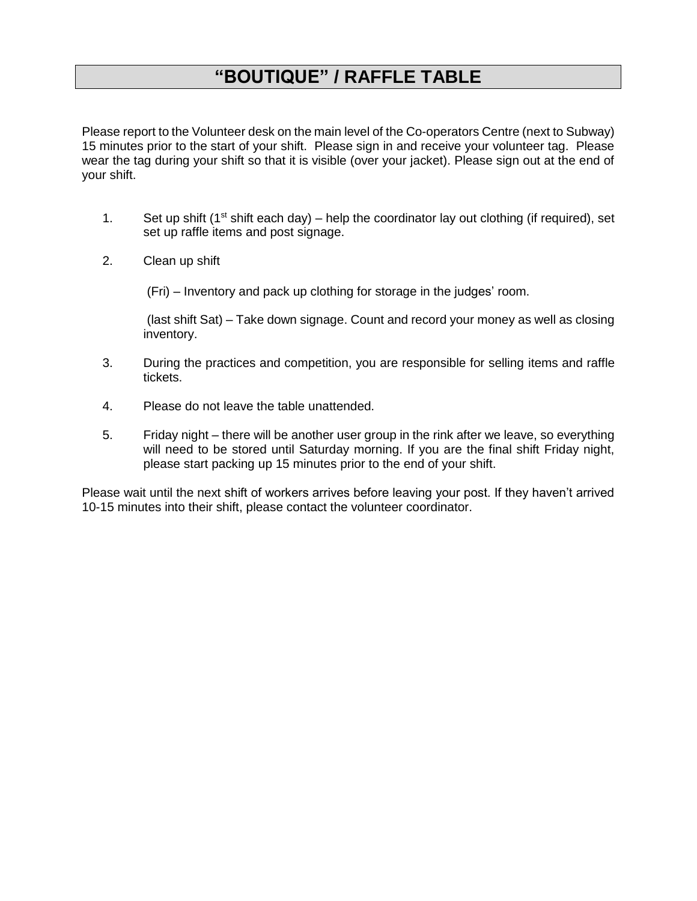## **"BOUTIQUE" / RAFFLE TABLE**

Please report to the Volunteer desk on the main level of the Co-operators Centre (next to Subway) 15 minutes prior to the start of your shift. Please sign in and receive your volunteer tag. Please wear the tag during your shift so that it is visible (over your jacket). Please sign out at the end of your shift.

- 1. Set up shift ( $1<sup>st</sup>$  shift each day) help the coordinator lay out clothing (if required), set set up raffle items and post signage.
- 2. Clean up shift

(Fri) – Inventory and pack up clothing for storage in the judges' room.

(last shift Sat) – Take down signage. Count and record your money as well as closing inventory.

- 3. During the practices and competition, you are responsible for selling items and raffle tickets.
- 4. Please do not leave the table unattended.
- 5. Friday night there will be another user group in the rink after we leave, so everything will need to be stored until Saturday morning. If you are the final shift Friday night, please start packing up 15 minutes prior to the end of your shift.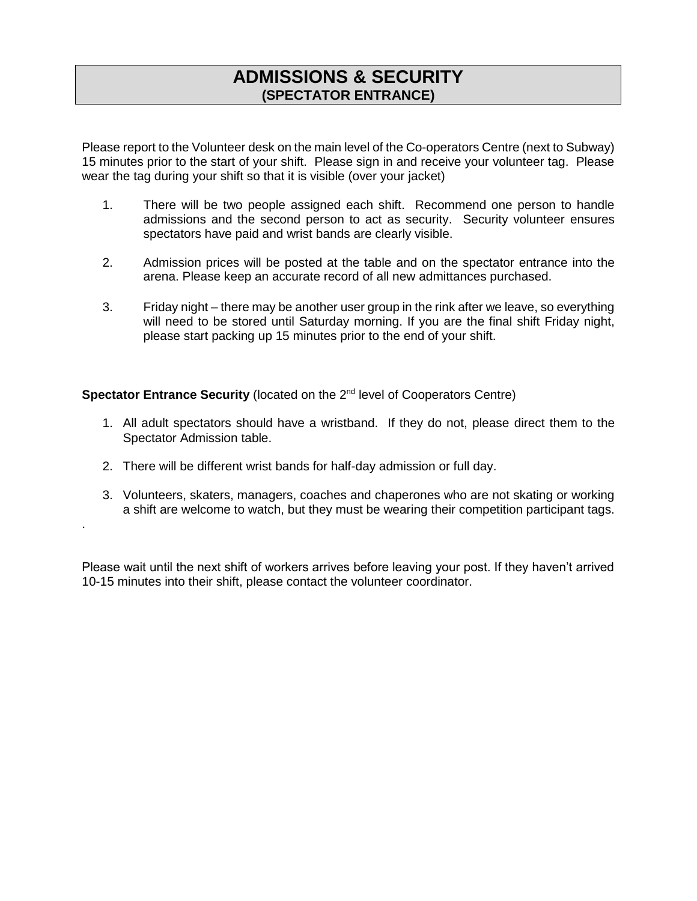#### **ADMISSIONS & SECURITY (SPECTATOR ENTRANCE)**

Please report to the Volunteer desk on the main level of the Co-operators Centre (next to Subway) 15 minutes prior to the start of your shift. Please sign in and receive your volunteer tag. Please wear the tag during your shift so that it is visible (over your jacket)

- 1. There will be two people assigned each shift. Recommend one person to handle admissions and the second person to act as security. Security volunteer ensures spectators have paid and wrist bands are clearly visible.
- 2. Admission prices will be posted at the table and on the spectator entrance into the arena. Please keep an accurate record of all new admittances purchased.
- 3. Friday night there may be another user group in the rink after we leave, so everything will need to be stored until Saturday morning. If you are the final shift Friday night, please start packing up 15 minutes prior to the end of your shift.

**Spectator Entrance Security** (located on the 2<sup>nd</sup> level of Cooperators Centre)

- 1. All adult spectators should have a wristband. If they do not, please direct them to the Spectator Admission table.
- 2. There will be different wrist bands for half-day admission or full day.

.

3. Volunteers, skaters, managers, coaches and chaperones who are not skating or working a shift are welcome to watch, but they must be wearing their competition participant tags.